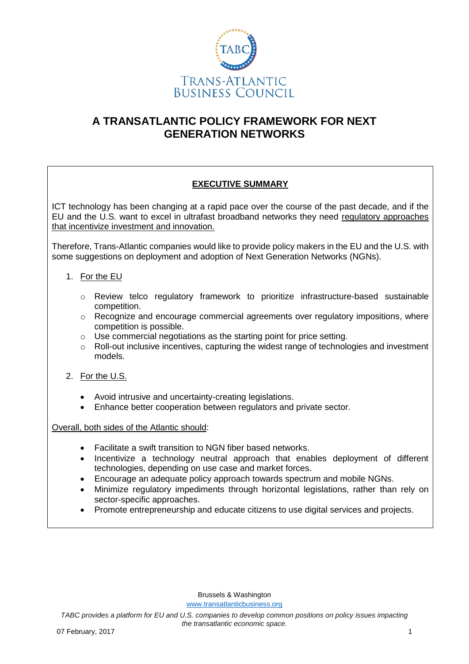

# **A TRANSATLANTIC POLICY FRAMEWORK FOR NEXT GENERATION NETWORKS**

# **EXECUTIVE SUMMARY**

ICT technology has been changing at a rapid pace over the course of the past decade, and if the EU and the U.S. want to excel in ultrafast broadband networks they need regulatory approaches that incentivize investment and innovation.

Therefore, Trans-Atlantic companies would like to provide policy makers in the EU and the U.S. with some suggestions on deployment and adoption of Next Generation Networks (NGNs).

## 1. For the EU

- o Review telco regulatory framework to prioritize infrastructure-based sustainable competition.
- $\circ$  Recognize and encourage commercial agreements over regulatory impositions, where competition is possible.
- o Use commercial negotiations as the starting point for price setting.
- $\circ$  Roll-out inclusive incentives, capturing the widest range of technologies and investment models.
- 2. For the U.S.
	- Avoid intrusive and uncertainty-creating legislations.
	- Enhance better cooperation between regulators and private sector.

Overall, both sides of the Atlantic should:

- Facilitate a swift transition to NGN fiber based networks.
- Incentivize a technology neutral approach that enables deployment of different technologies, depending on use case and market forces.
- Encourage an adequate policy approach towards spectrum and mobile NGNs.
- Minimize regulatory impediments through horizontal legislations, rather than rely on sector-specific approaches.
- Promote entrepreneurship and educate citizens to use digital services and projects.

Brussels & Washington [www.transatlanticbusiness.org](http://www.transatlanticbusiness.org/)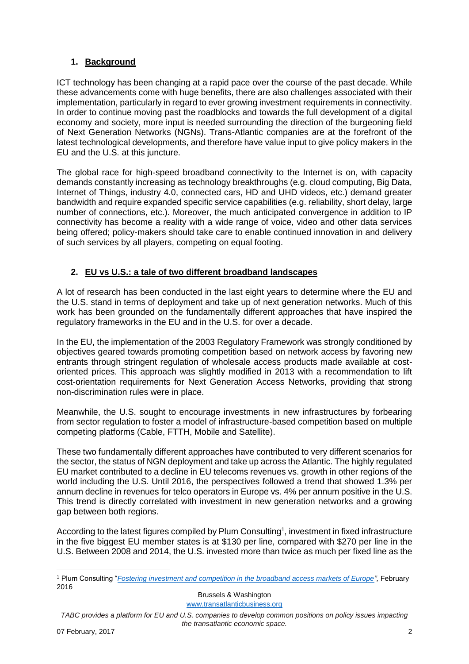## **1. Background**

ICT technology has been changing at a rapid pace over the course of the past decade. While these advancements come with huge benefits, there are also challenges associated with their implementation, particularly in regard to ever growing investment requirements in connectivity. In order to continue moving past the roadblocks and towards the full development of a digital economy and society, more input is needed surrounding the direction of the burgeoning field of Next Generation Networks (NGNs). Trans-Atlantic companies are at the forefront of the latest technological developments, and therefore have value input to give policy makers in the EU and the U.S. at this juncture.

The global race for high-speed broadband connectivity to the Internet is on, with capacity demands constantly increasing as technology breakthroughs (e.g. cloud computing, Big Data, Internet of Things, industry 4.0, connected cars, HD and UHD videos, etc.) demand greater bandwidth and require expanded specific service capabilities (e.g. reliability, short delay, large number of connections, etc.). Moreover, the much anticipated convergence in addition to IP connectivity has become a reality with a wide range of voice, video and other data services being offered; policy-makers should take care to enable continued innovation in and delivery of such services by all players, competing on equal footing.

## **2. EU vs U.S.: a tale of two different broadband landscapes**

A lot of research has been conducted in the last eight years to determine where the EU and the U.S. stand in terms of deployment and take up of next generation networks. Much of this work has been grounded on the fundamentally different approaches that have inspired the regulatory frameworks in the EU and in the U.S. for over a decade.

In the EU, the implementation of the 2003 Regulatory Framework was strongly conditioned by objectives geared towards promoting competition based on network access by favoring new entrants through stringent regulation of wholesale access products made available at costoriented prices. This approach was slightly modified in 2013 with a recommendation to lift cost-orientation requirements for Next Generation Access Networks, providing that strong non-discrimination rules were in place.

Meanwhile, the U.S. sought to encourage investments in new infrastructures by forbearing from sector regulation to foster a model of infrastructure-based competition based on multiple competing platforms (Cable, FTTH, Mobile and Satellite).

These two fundamentally different approaches have contributed to very different scenarios for the sector, the status of NGN deployment and take up across the Atlantic. The highly regulated EU market contributed to a decline in EU telecoms revenues vs. growth in other regions of the world including the U.S. Until 2016, the perspectives followed a trend that showed 1.3% per annum decline in revenues for telco operators in Europe vs. 4% per annum positive in the U.S. This trend is directly correlated with investment in new generation networks and a growing gap between both regions.

According to the latest figures compiled by Plum Consulting<sup>1</sup>, investment in fixed infrastructure in the five biggest EU member states is at \$130 per line, compared with \$270 per line in the U.S. Between 2008 and 2014, the U.S. invested more than twice as much per fixed line as the

Brussels & Washington

[www.transatlanticbusiness.org](http://www.transatlanticbusiness.org/)

*TABC provides a platform for EU and U.S. companies to develop common positions on policy issues impacting the transatlantic economic space.*

<u>.</u>

<sup>1</sup> Plum Consulting "*[Fostering investment and competition in the broadband access markets of Europe"](http://www.plumconsulting.co.uk/pdfs/Plum_Feb_2016_Fostering_investment_and_competition_in_Europe_broadband_access_markets.pdf),* February 2016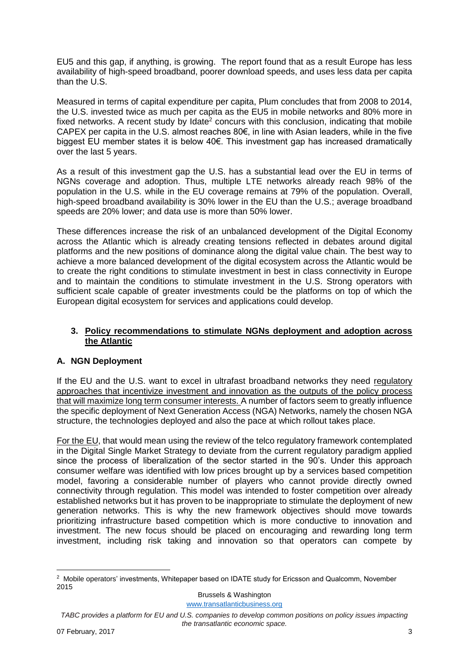EU5 and this gap, if anything, is growing. The report found that as a result Europe has less availability of high-speed broadband, poorer download speeds, and uses less data per capita than the U.S.

Measured in terms of capital expenditure per capita, Plum concludes that from 2008 to 2014, the U.S. invested twice as much per capita as the EU5 in mobile networks and 80% more in fixed networks. A recent study by Idate<sup>2</sup> concurs with this conclusion, indicating that mobile CAPEX per capita in the U.S. almost reaches 80€, in line with Asian leaders, while in the five biggest EU member states it is below 40€. This investment gap has increased dramatically over the last 5 years.

As a result of this investment gap the U.S. has a substantial lead over the EU in terms of NGNs coverage and adoption. Thus, multiple LTE networks already reach 98% of the population in the U.S. while in the EU coverage remains at 79% of the population. Overall, high-speed broadband availability is 30% lower in the EU than the U.S.; average broadband speeds are 20% lower; and data use is more than 50% lower.

These differences increase the risk of an unbalanced development of the Digital Economy across the Atlantic which is already creating tensions reflected in debates around digital platforms and the new positions of dominance along the digital value chain. The best way to achieve a more balanced development of the digital ecosystem across the Atlantic would be to create the right conditions to stimulate investment in best in class connectivity in Europe and to maintain the conditions to stimulate investment in the U.S. Strong operators with sufficient scale capable of greater investments could be the platforms on top of which the European digital ecosystem for services and applications could develop.

#### **3. Policy recommendations to stimulate NGNs deployment and adoption across the Atlantic**

## **A. NGN Deployment**

If the EU and the U.S. want to excel in ultrafast broadband networks they need regulatory approaches that incentivize investment and innovation as the outputs of the policy process that will maximize long term consumer interests. A number of factors seem to greatly influence the specific deployment of Next Generation Access (NGA) Networks, namely the chosen NGA structure, the technologies deployed and also the pace at which rollout takes place.

For the EU, that would mean using the review of the telco regulatory framework contemplated in the Digital Single Market Strategy to deviate from the current regulatory paradigm applied since the process of liberalization of the sector started in the 90's. Under this approach consumer welfare was identified with low prices brought up by a services based competition model, favoring a considerable number of players who cannot provide directly owned connectivity through regulation. This model was intended to foster competition over already established networks but it has proven to be inappropriate to stimulate the deployment of new generation networks. This is why the new framework objectives should move towards prioritizing infrastructure based competition which is more conductive to innovation and investment. The new focus should be placed on encouraging and rewarding long term investment, including risk taking and innovation so that operators can compete by

Brussels & Washington

[www.transatlanticbusiness.org](http://www.transatlanticbusiness.org/)

<sup>&</sup>lt;u>.</u> <sup>2</sup> Mobile operators' investments, Whitepaper based on IDATE study for Ericsson and Qualcomm, November 2015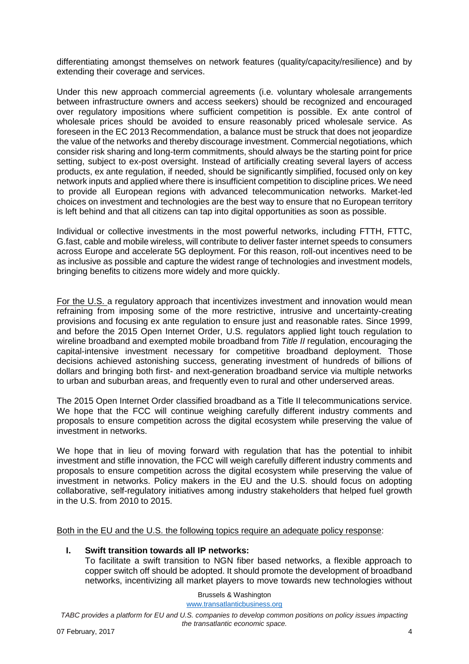differentiating amongst themselves on network features (quality/capacity/resilience) and by extending their coverage and services.

Under this new approach commercial agreements (i.e. voluntary wholesale arrangements between infrastructure owners and access seekers) should be recognized and encouraged over regulatory impositions where sufficient competition is possible. Ex ante control of wholesale prices should be avoided to ensure reasonably priced wholesale service. As foreseen in the EC 2013 Recommendation, a balance must be struck that does not jeopardize the value of the networks and thereby discourage investment. Commercial negotiations, which consider risk sharing and long-term commitments, should always be the starting point for price setting, subject to ex-post oversight. Instead of artificially creating several layers of access products, ex ante regulation, if needed, should be significantly simplified, focused only on key network inputs and applied where there is insufficient competition to discipline prices. We need to provide all European regions with advanced telecommunication networks. Market-led choices on investment and technologies are the best way to ensure that no European territory is left behind and that all citizens can tap into digital opportunities as soon as possible.

Individual or collective investments in the most powerful networks, including FTTH, FTTC, G.fast, cable and mobile wireless, will contribute to deliver faster internet speeds to consumers across Europe and accelerate 5G deployment. For this reason, roll-out incentives need to be as inclusive as possible and capture the widest range of technologies and investment models, bringing benefits to citizens more widely and more quickly.

For the U.S. a regulatory approach that incentivizes investment and innovation would mean refraining from imposing some of the more restrictive, intrusive and uncertainty-creating provisions and focusing ex ante regulation to ensure just and reasonable rates. Since 1999, and before the 2015 Open Internet Order, U.S. regulators applied light touch regulation to wireline broadband and exempted mobile broadband from *Title II* regulation, encouraging the capital-intensive investment necessary for competitive broadband deployment. Those decisions achieved astonishing success, generating investment of hundreds of billions of dollars and bringing both first- and next-generation broadband service via multiple networks to urban and suburban areas, and frequently even to rural and other underserved areas.

The 2015 Open Internet Order classified broadband as a Title II telecommunications service. We hope that the FCC will continue weighing carefully different industry comments and proposals to ensure competition across the digital ecosystem while preserving the value of investment in networks.

We hope that in lieu of moving forward with regulation that has the potential to inhibit investment and stifle innovation, the FCC will weigh carefully different industry comments and proposals to ensure competition across the digital ecosystem while preserving the value of investment in networks. Policy makers in the EU and the U.S. should focus on adopting collaborative, self-regulatory initiatives among industry stakeholders that helped fuel growth in the U.S. from 2010 to 2015.

Both in the EU and the U.S. the following topics require an adequate policy response:

## **I. Swift transition towards all IP networks:**

To facilitate a swift transition to NGN fiber based networks, a flexible approach to copper switch off should be adopted. It should promote the development of broadband networks, incentivizing all market players to move towards new technologies without

> Brussels & Washington [www.transatlanticbusiness.org](http://www.transatlanticbusiness.org/)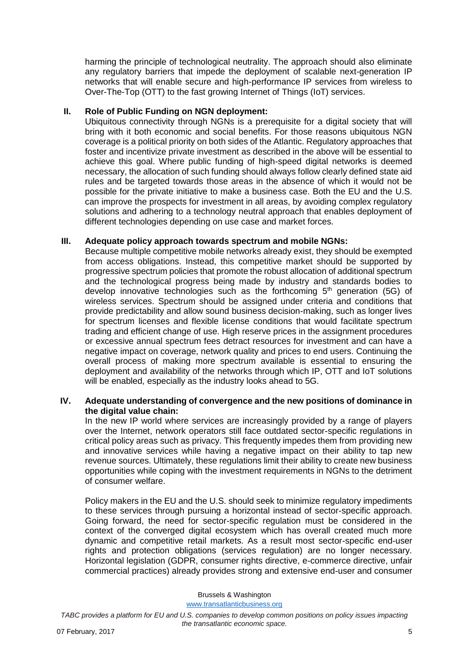harming the principle of technological neutrality. The approach should also eliminate any regulatory barriers that impede the deployment of scalable next-generation IP networks that will enable secure and high-performance IP services from wireless to Over-The-Top (OTT) to the fast growing Internet of Things (IoT) services.

#### **II. Role of Public Funding on NGN deployment:**

Ubiquitous connectivity through NGNs is a prerequisite for a digital society that will bring with it both economic and social benefits. For those reasons ubiquitous NGN coverage is a political priority on both sides of the Atlantic. Regulatory approaches that foster and incentivize private investment as described in the above will be essential to achieve this goal. Where public funding of high-speed digital networks is deemed necessary, the allocation of such funding should always follow clearly defined state aid rules and be targeted towards those areas in the absence of which it would not be possible for the private initiative to make a business case. Both the EU and the U.S. can improve the prospects for investment in all areas, by avoiding complex regulatory solutions and adhering to a technology neutral approach that enables deployment of different technologies depending on use case and market forces.

## **III. Adequate policy approach towards spectrum and mobile NGNs:**

Because multiple competitive mobile networks already exist, they should be exempted from access obligations. Instead, this competitive market should be supported by progressive spectrum policies that promote the robust allocation of additional spectrum and the technological progress being made by industry and standards bodies to develop innovative technologies such as the forthcoming  $5<sup>th</sup>$  generation (5G) of wireless services. Spectrum should be assigned under criteria and conditions that provide predictability and allow sound business decision-making, such as longer lives for spectrum licenses and flexible license conditions that would facilitate spectrum trading and efficient change of use. High reserve prices in the assignment procedures or excessive annual spectrum fees detract resources for investment and can have a negative impact on coverage, network quality and prices to end users. Continuing the overall process of making more spectrum available is essential to ensuring the deployment and availability of the networks through which IP, OTT and IoT solutions will be enabled, especially as the industry looks ahead to 5G.

## **IV. Adequate understanding of convergence and the new positions of dominance in the digital value chain:**

In the new IP world where services are increasingly provided by a range of players over the Internet, network operators still face outdated sector-specific regulations in critical policy areas such as privacy. This frequently impedes them from providing new and innovative services while having a negative impact on their ability to tap new revenue sources. Ultimately, these regulations limit their ability to create new business opportunities while coping with the investment requirements in NGNs to the detriment of consumer welfare.

Policy makers in the EU and the U.S. should seek to minimize regulatory impediments to these services through pursuing a horizontal instead of sector-specific approach. Going forward, the need for sector-specific regulation must be considered in the context of the converged digital ecosystem which has overall created much more dynamic and competitive retail markets. As a result most sector-specific end-user rights and protection obligations (services regulation) are no longer necessary. Horizontal legislation (GDPR, consumer rights directive, e-commerce directive, unfair commercial practices) already provides strong and extensive end-user and consumer

Brussels & Washington

[www.transatlanticbusiness.org](http://www.transatlanticbusiness.org/)